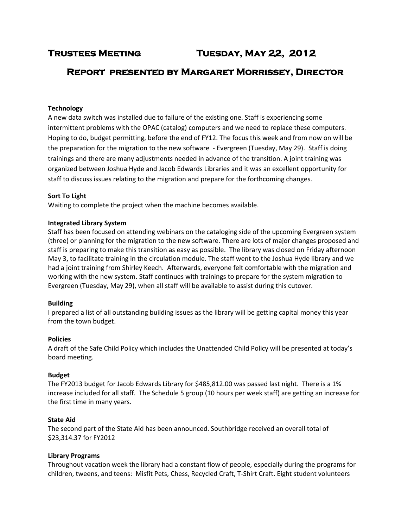**Trustees Meeting Tuesday, May 22, 2012** 

# **Report presented by Margaret Morrissey, Director**

# **Technology**

A new data switch was installed due to failure of the existing one. Staff is experiencing some intermittent problems with the OPAC (catalog) computers and we need to replace these computers. Hoping to do, budget permitting, before the end of FY12. The focus this week and from now on will be the preparation for the migration to the new software - Evergreen (Tuesday, May 29). Staff is doing trainings and there are many adjustments needed in advance of the transition. A joint training was organized between Joshua Hyde and Jacob Edwards Libraries and it was an excellent opportunity for staff to discuss issues relating to the migration and prepare for the forthcoming changes.

#### **Sort To Light**

Waiting to complete the project when the machine becomes available.

### **Integrated Library System**

Staff has been focused on attending webinars on the cataloging side of the upcoming Evergreen system (three) or planning for the migration to the new software. There are lots of major changes proposed and staff is preparing to make this transition as easy as possible. The library was closed on Friday afternoon May 3, to facilitate training in the circulation module. The staff went to the Joshua Hyde library and we had a joint training from Shirley Keech. Afterwards, everyone felt comfortable with the migration and working with the new system. Staff continues with trainings to prepare for the system migration to Evergreen (Tuesday, May 29), when all staff will be available to assist during this cutover.

#### **Building**

I prepared a list of all outstanding building issues as the library will be getting capital money this year from the town budget.

#### **Policies**

A draft of the Safe Child Policy which includes the Unattended Child Policy will be presented at today's board meeting.

#### **Budget**

The FY2013 budget for Jacob Edwards Library for \$485,812.00 was passed last night. There is a 1% increase included for all staff. The Schedule 5 group (10 hours per week staff) are getting an increase for the first time in many years.

#### **State Aid**

The second part of the State Aid has been announced. Southbridge received an overall total of \$23,314.37 for FY2012

#### **Library Programs**

Throughout vacation week the library had a constant flow of people, especially during the programs for children, tweens, and teens: Misfit Pets, Chess, Recycled Craft, T-Shirt Craft. Eight student volunteers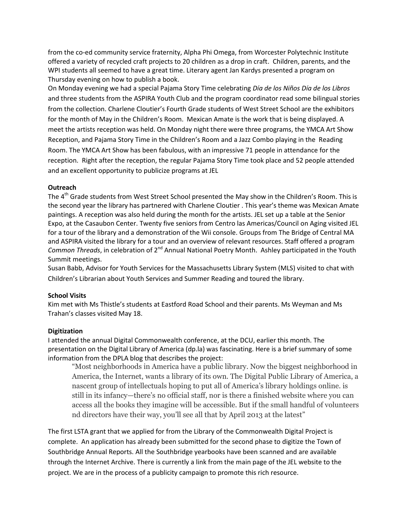from the co-ed community service fraternity, Alpha Phi Omega, from Worcester Polytechnic Institute offered a variety of recycled craft projects to 20 children as a drop in craft. Children, parents, and the WPI students all seemed to have a great time. Literary agent Jan Kardys presented a program on Thursday evening on how to publish a book.

On Monday evening we had a special Pajama Story Time celebrating *Día de los Niños Día de los Libros* and three students from the ASPIRA Youth Club and the program coordinator read some bilingual stories from the collection. Charlene Cloutier's Fourth Grade students of West Street School are the exhibitors for the month of May in the Children's Room. Mexican Amate is the work that is being displayed. A meet the artists reception was held. On Monday night there were three programs, the YMCA Art Show Reception, and Pajama Story Time in the Children's Room and a Jazz Combo playing in the Reading Room. The YMCA Art Show has been fabulous, with an impressive 71 people in attendance for the reception. Right after the reception, the regular Pajama Story Time took place and 52 people attended and an excellent opportunity to publicize programs at JEL

# **Outreach**

The 4<sup>th</sup> Grade students from West Street School presented the May show in the Children's Room. This is the second year the library has partnered with Charlene Cloutier . This year's theme was Mexican Amate paintings. A reception was also held during the month for the artists. JEL set up a table at the Senior Expo, at the Casaubon Center. Twenty five seniors from Centro las Americas/Council on Aging visited JEL for a tour of the library and a demonstration of the Wii console. Groups from The Bridge of Central MA and ASPIRA visited the library for a tour and an overview of relevant resources. Staff offered a program *Common Threads*, in celebration of 2nd Annual National Poetry Month. Ashley participated in the Youth Summit meetings.

Susan Babb, Advisor for Youth Services for the Massachusetts Library System (MLS) visited to chat with Children's Librarian about Youth Services and Summer Reading and toured the library.

# **School Visits**

Kim met with Ms Thistle's students at Eastford Road School and their parents. Ms Weyman and Ms Trahan's classes visited May 18.

# **Digitization**

I attended the annual Digital Commonwealth conference, at the DCU, earlier this month. The presentation on the Digital Library of America (dp.la) was fascinating. Here is a brief summary of some information from the DPLA blog that describes the project:

"Most neighborhoods in America have a public library. Now the biggest neighborhood in America, the Internet, wants a library of its own. The Digital Public Library of America, a nascent group of intellectuals hoping to put all of America's library holdings online. is still in its infancy—there's no official staff, nor is there a finished website where you can access all the books they imagine will be accessible. But if the small handful of volunteers nd directors have their way, you'll see all that by April 2013 at the latest"

The first LSTA grant that we applied for from the Library of the Commonwealth Digital Project is complete. An application has already been submitted for the second phase to digitize the Town of Southbridge Annual Reports. All the Southbridge yearbooks have been scanned and are available through the Internet Archive. There is currently a link from the main page of the JEL website to the project. We are in the process of a publicity campaign to promote this rich resource.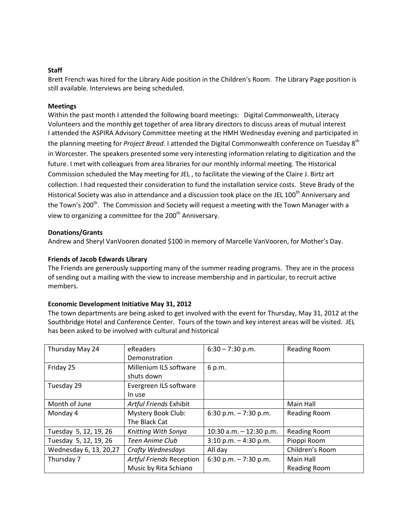### **Staff**

Brett French was hired for the Library Aide position in the Children's Room. The Library Page position is still available. Interviews are being scheduled.

### **Meetings**

Within the past month I attended the following board meetings: Digital Commonwealth, Literacy Volunteers and the monthly get together of area library directors to discuss areas of mutual interest I attended the ASPIRA Advisory Committee meeting at the HMH Wednesday evening and participated in the planning meeting for *Project Bread*. I attended the Digital Commonwealth conference on Tuesday 8th in Worcester. The speakers presented some very interesting information relating to digitization and the future. I met with colleagues from area libraries for our monthly informal meeting. The Historical Commission scheduled the May meeting for JEL , to facilitate the viewing of the Claire J. Birtz art collection. I had requested their consideration to fund the installation service costs. Steve Brady of the Historical Society was also in attendance and a discussion took place on the JEL 100<sup>th</sup> Anniversary and the Town's 200<sup>th</sup>. The Commission and Society will request a meeting with the Town Manager with a view to organizing a committee for the  $200<sup>th</sup>$  Anniversary.

### **Donations/Grants**

Andrew and Sheryl VanVooren donated \$100 in memory of Marcelle VanVooren, for Mother's Day.

# **Friends of Jacob Edwards Library**

The Friends are generously supporting many of the summer reading programs. They are in the process of sending out a mailing with the view to increase membership and in particular, to recruit active members.

#### **Economic Development Initiative May 31, 2012**

The town departments are being asked to get involved with the event for Thursday, May 31, 2012 at the Southbridge Hotel and Conference Center. Tours of the town and key interest areas will be visited. JEL has been asked to be involved with cultural and historical

| Thursday May 24        | eReaders                        | $6:30 - 7:30$ p.m.        | <b>Reading Room</b> |
|------------------------|---------------------------------|---------------------------|---------------------|
|                        | Demonstration                   |                           |                     |
| Friday 25              | Millenium ILS software          | 6 p.m.                    |                     |
|                        | shuts down                      |                           |                     |
| Tuesday 29             | Evergreen ILS software          |                           |                     |
|                        | In use                          |                           |                     |
| Month of June          | Artful Friends Exhibit          |                           | Main Hall           |
| Monday 4               | Mystery Book Club:              | 6:30 p.m. $-7:30$ p.m.    | <b>Reading Room</b> |
|                        | The Black Cat                   |                           |                     |
| Tuesday 5, 12, 19, 26  | Knitting With Sonya             | 10:30 a.m. $-$ 12:30 p.m. | <b>Reading Room</b> |
| Tuesday 5, 12, 19, 26  | Teen Anime Club                 | $3:10$ p.m. $-4:30$ p.m.  | Pioppi Room         |
| Wednesday 6, 13, 20,27 | Crafty Wednesdays               | All day                   | Children's Room     |
| Thursday 7             | <b>Artful Friends Reception</b> | 6:30 p.m. $-7:30$ p.m.    | Main Hall           |
|                        | Music by Rita Schiano           |                           | <b>Reading Room</b> |